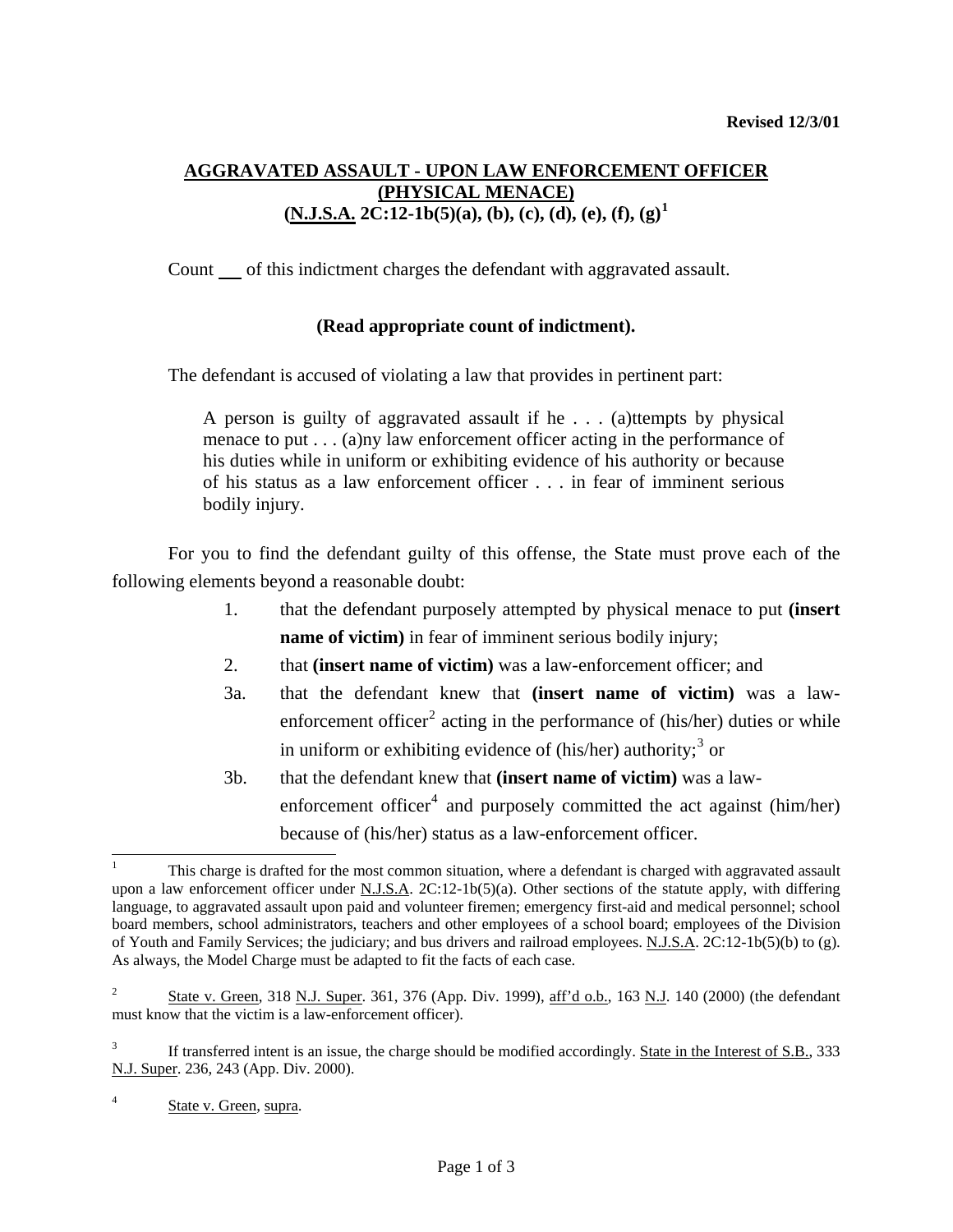## **AGGRAVATED ASSAULT - UPON LAW ENFORCEMENT OFFICER (PHYSICAL MENACE)**  $(N.J.S.A. 2C:12-1b(5)(a), (b), (c), (d), (e), (f), (g)^1)$  $(N.J.S.A. 2C:12-1b(5)(a), (b), (c), (d), (e), (f), (g)^1)$  $(N.J.S.A. 2C:12-1b(5)(a), (b), (c), (d), (e), (f), (g)^1)$

Count of this indictment charges the defendant with aggravated assault.

## **(Read appropriate count of indictment).**

The defendant is accused of violating a law that provides in pertinent part:

A person is guilty of aggravated assault if he . . . (a)ttempts by physical menace to put . . . (a)ny law enforcement officer acting in the performance of his duties while in uniform or exhibiting evidence of his authority or because of his status as a law enforcement officer . . . in fear of imminent serious bodily injury.

 For you to find the defendant guilty of this offense, the State must prove each of the following elements beyond a reasonable doubt:

- 1. that the defendant purposely attempted by physical menace to put **(insert name of victim**) in fear of imminent serious bodily injury;
- 2. that **(insert name of victim)** was a law-enforcement officer; and
- 3a. that the defendant knew that **(insert name of victim)** was a law-enforcement officer<sup>[2](#page-0-1)</sup> acting in the performance of (his/her) duties or while in uniform or exhibiting evidence of (his/her) authority;<sup>[3](#page-0-2)</sup> or
- 3b. that the defendant knew that **(insert name of victim)** was a law-enforcement officer<sup>[4](#page-0-3)</sup> and purposely committed the act against (him/her) because of (his/her) status as a law-enforcement officer.

<span id="page-0-0"></span><sup>1</sup> This charge is drafted for the most common situation, where a defendant is charged with aggravated assault upon a law enforcement officer under N.J.S.A.  $2C:12-1b(5)(a)$ . Other sections of the statute apply, with differing language, to aggravated assault upon paid and volunteer firemen; emergency first-aid and medical personnel; school board members, school administrators, teachers and other employees of a school board; employees of the Division of Youth and Family Services; the judiciary; and bus drivers and railroad employees. N.J.S.A. 2C:12-1b(5)(b) to (g). As always, the Model Charge must be adapted to fit the facts of each case.

<span id="page-0-4"></span><span id="page-0-1"></span><sup>2</sup> State v. Green, 318 N.J. Super. 361, 376 (App. Div. 1999), aff'd o.b., 163 N.J. 140 (2000) (the defendant must know that the victim is a law-enforcement officer).

<span id="page-0-2"></span><sup>3</sup> If transferred intent is an issue, the charge should be modified accordingly. State in the Interest of S.B., 333 N.J. Super. 236, 243 (App. Div. 2000).

<span id="page-0-3"></span><sup>4</sup> State v. Green, supra.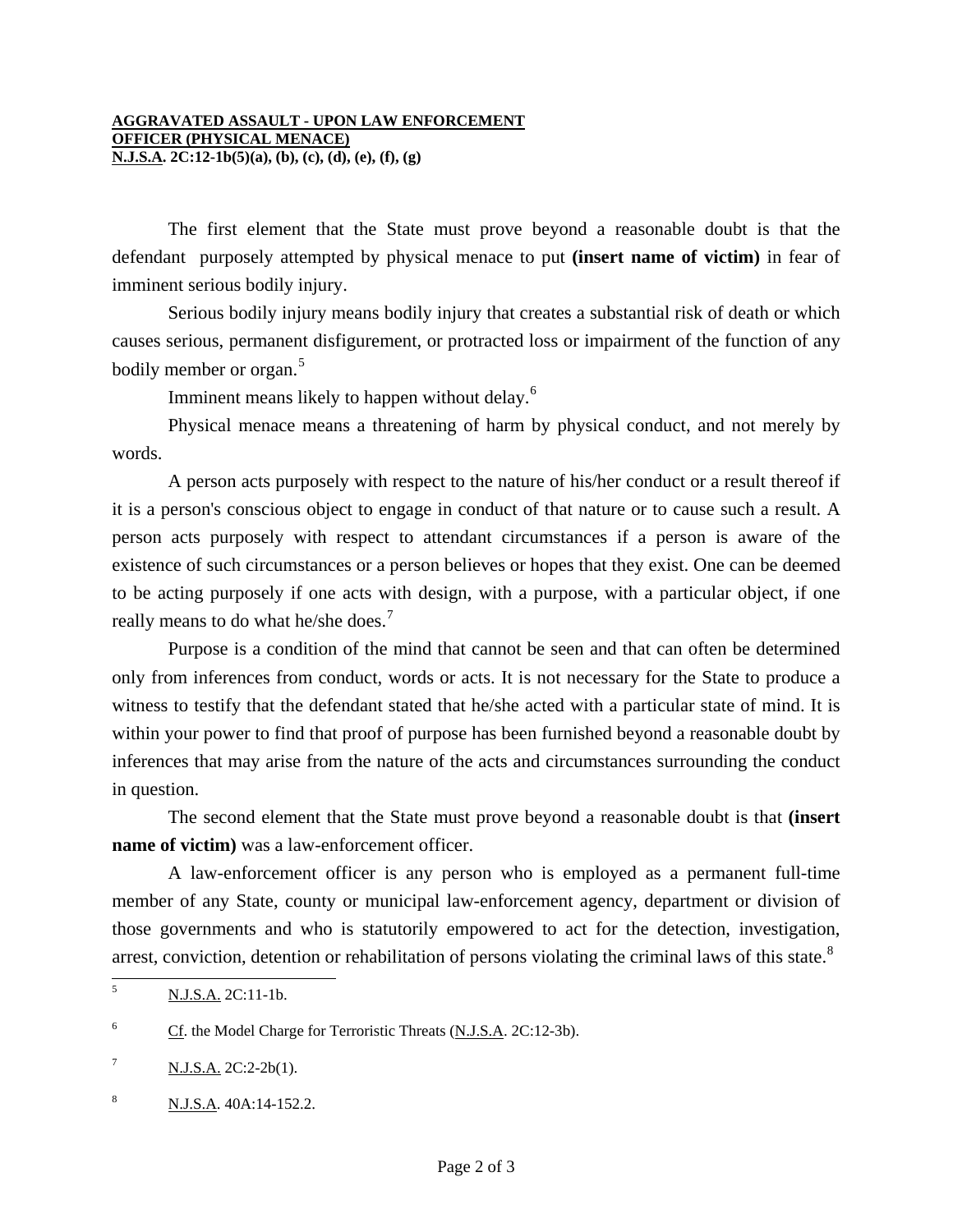The first element that the State must prove beyond a reasonable doubt is that the defendant purposely attempted by physical menace to put **(insert name of victim)** in fear of imminent serious bodily injury.

 Serious bodily injury means bodily injury that creates a substantial risk of death or which causes serious, permanent disfigurement, or protracted loss or impairment of the function of any bodily member or organ.<sup>[5](#page-0-4)</sup>

Imminent means likely to happen without delay.<sup>[6](#page-1-0)</sup>

 Physical menace means a threatening of harm by physical conduct, and not merely by words.

 A person acts purposely with respect to the nature of his/her conduct or a result thereof if it is a person's conscious object to engage in conduct of that nature or to cause such a result. A person acts purposely with respect to attendant circumstances if a person is aware of the existence of such circumstances or a person believes or hopes that they exist. One can be deemed to be acting purposely if one acts with design, with a purpose, with a particular object, if one really means to do what he/she does.<sup>[7](#page-1-1)</sup>

 Purpose is a condition of the mind that cannot be seen and that can often be determined only from inferences from conduct, words or acts. It is not necessary for the State to produce a witness to testify that the defendant stated that he/she acted with a particular state of mind. It is within your power to find that proof of purpose has been furnished beyond a reasonable doubt by inferences that may arise from the nature of the acts and circumstances surrounding the conduct in question.

 The second element that the State must prove beyond a reasonable doubt is that **(insert name of victim**) was a law-enforcement officer.

 A law-enforcement officer is any person who is employed as a permanent full-time member of any State, county or municipal law-enforcement agency, department or division of those governments and who is statutorily empowered to act for the detection, investigation, arrest, conviction, detention or rehabilitation of persons violating the criminal laws of this state.<sup>[8](#page-1-2)</sup>

 5 N.J.S.A. 2C:11-1b.

<span id="page-1-0"></span><sup>6</sup> Cf. the Model Charge for Terroristic Threats (N.J.S.A. 2C:12-3b).

<span id="page-1-3"></span><span id="page-1-1"></span><sup>7</sup> N.J.S.A. 2C:2-2b(1).

<span id="page-1-2"></span><sup>8</sup> N.J.S.A. 40A:14-152.2.